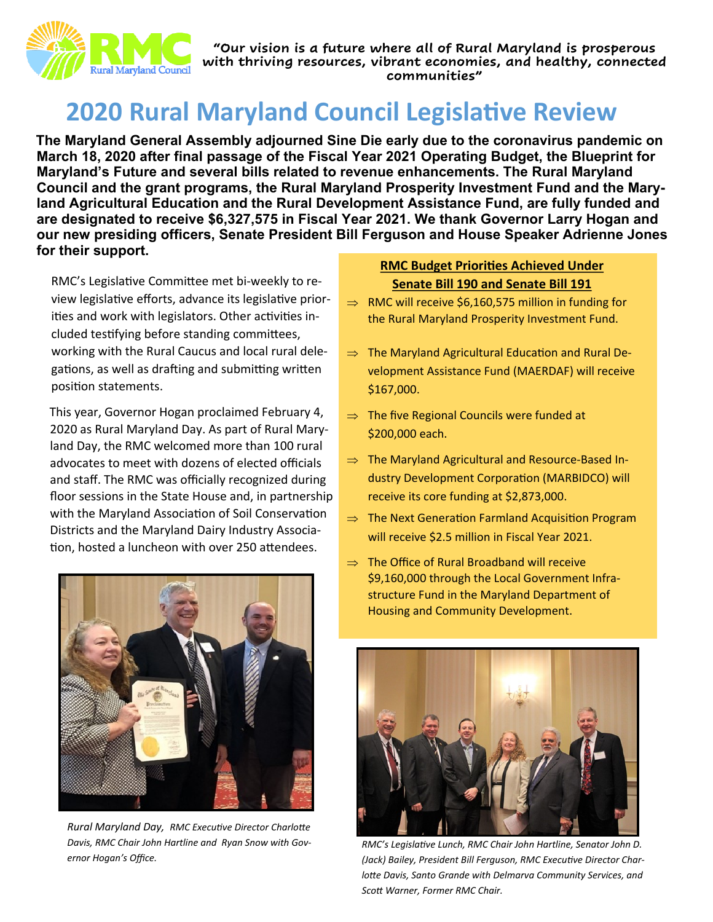

**"Our vision is a future where all of Rural Maryland is prosperous with thriving resources, vibrant economies, and healthy, connected communities"**

# **2020 Rural Maryland Council Legislative Review**

**The Maryland General Assembly adjourned Sine Die early due to the coronavirus pandemic on March 18, 2020 after final passage of the Fiscal Year 2021 Operating Budget, the Blueprint for Maryland's Future and several bills related to revenue enhancements. The Rural Maryland Council and the grant programs, the Rural Maryland Prosperity Investment Fund and the Maryland Agricultural Education and the Rural Development Assistance Fund, are fully funded and are designated to receive \$6,327,575 in Fiscal Year 2021. We thank Governor Larry Hogan and our new presiding officers, Senate President Bill Ferguson and House Speaker Adrienne Jones for their support.**

RMC's Legislative Committee met bi-weekly to review legislative efforts, advance its legislative priorities and work with legislators. Other activities included testifying before standing committees, working with the Rural Caucus and local rural delegations, as well as drafting and submitting written position statements.

This year, Governor Hogan proclaimed February 4, 2020 as Rural Maryland Day. As part of Rural Maryland Day, the RMC welcomed more than 100 rural advocates to meet with dozens of elected officials and staff. The RMC was officially recognized during floor sessions in the State House and, in partnership with the Maryland Association of Soil Conservation Districts and the Maryland Dairy Industry Association, hosted a luncheon with over 250 attendees.



*Rural Maryland Day, RMC Executive Director Charlotte Davis, RMC Chair John Hartline and Ryan Snow with Governor Hogan's Office.*

#### **RMC Budget Priorities Achieved Under Senate Bill 190 and Senate Bill 191**

- $\Rightarrow$  RMC will receive \$6,160,575 million in funding for the Rural Maryland Prosperity Investment Fund.
- $\Rightarrow$  The Maryland Agricultural Education and Rural Development Assistance Fund (MAERDAF) will receive \$167,000.
- $\Rightarrow$  The five Regional Councils were funded at \$200,000 each.
- $\Rightarrow$  The Maryland Agricultural and Resource-Based Industry Development Corporation (MARBIDCO) will receive its core funding at \$2,873,000.
- $\Rightarrow$  The Next Generation Farmland Acquisition Program will receive \$2.5 million in Fiscal Year 2021.
- $\Rightarrow$  The Office of Rural Broadband will receive \$9,160,000 through the Local Government Infrastructure Fund in the Maryland Department of Housing and Community Development.



*RMC's Legislative Lunch, RMC Chair John Hartline, Senator John D. (Jack) Bailey, President Bill Ferguson, RMC Executive Director Charlotte Davis, Santo Grande with Delmarva Community Services, and Scott Warner, Former RMC Chair.*